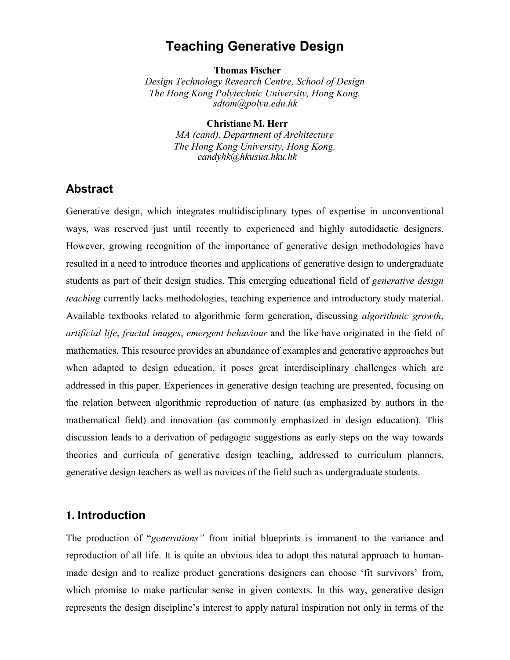# **Teaching Generative Design**

**Thomas Fischer**

*Design Technology Research Centre, School of Design The Hong Kong Polytechnic University, Hong Kong. sdtom@polyu.edu.hk*

**Christiane M. Herr**

*MA (cand), Department of Architecture The Hong Kong University, Hong Kong. candyhk@hkusua.hku.hk*

#### **Abstract**

Generative design, which integrates multidisciplinary types of expertise in unconventional ways, was reserved just until recently to experienced and highly autodidactic designers. However, growing recognition of the importance of generative design methodologies have resulted in a need to introduce theories and applications of generative design to undergraduate students as part of their design studies. This emerging educational field of *generative design teaching* currently lacks methodologies, teaching experience and introductory study material. Available textbooks related to algorithmic form generation, discussing *algorithmic growth*, *artificial life*, *fractal images*, *emergent behaviour* and the like have originated in the field of mathematics. This resource provides an abundance of examples and generative approaches but when adapted to design education, it poses great interdisciplinary challenges which are addressed in this paper. Experiences in generative design teaching are presented, focusing on the relation between algorithmic reproduction of nature (as emphasized by authors in the mathematical field) and innovation (as commonly emphasized in design education). This discussion leads to a derivation of pedagogic suggestions as early steps on the way towards theories and curricula of generative design teaching, addressed to curriculum planners, generative design teachers as well as novices of the field such as undergraduate students.

### **1. Introduction**

The production of "*generations"* from initial blueprints is immanent to the variance and reproduction of all life. It is quite an obvious idea to adopt this natural approach to humanmade design and to realize product generations designers can choose 'fit survivors' from, which promise to make particular sense in given contexts. In this way, generative design represents the design discipline's interest to apply natural inspiration not only in terms of the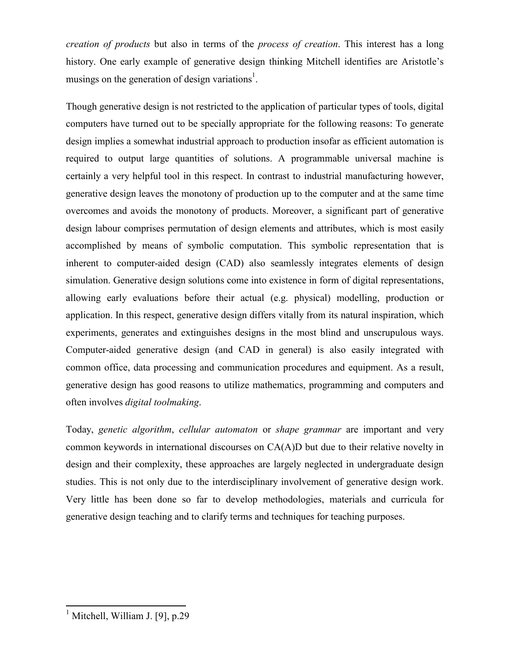*creation of products* but also in terms of the *process of creation*. This interest has a long history. One early example of generative design thinking Mitchell identifies are Aristotle's musings on the generation of design variations<sup>1</sup>.

Though generative design is not restricted to the application of particular types of tools, digital computers have turned out to be specially appropriate for the following reasons: To generate design implies a somewhat industrial approach to production insofar as efficient automation is required to output large quantities of solutions. A programmable universal machine is certainly a very helpful tool in this respect. In contrast to industrial manufacturing however, generative design leaves the monotony of production up to the computer and at the same time overcomes and avoids the monotony of products. Moreover, a significant part of generative design labour comprises permutation of design elements and attributes, which is most easily accomplished by means of symbolic computation. This symbolic representation that is inherent to computer-aided design (CAD) also seamlessly integrates elements of design simulation. Generative design solutions come into existence in form of digital representations, allowing early evaluations before their actual (e.g. physical) modelling, production or application. In this respect, generative design differs vitally from its natural inspiration, which experiments, generates and extinguishes designs in the most blind and unscrupulous ways. Computer-aided generative design (and CAD in general) is also easily integrated with common office, data processing and communication procedures and equipment. As a result, generative design has good reasons to utilize mathematics, programming and computers and often involves *digital toolmaking*.

Today, *genetic algorithm*, *cellular automaton* or *shape grammar* are important and very common keywords in international discourses on CA(A)D but due to their relative novelty in design and their complexity, these approaches are largely neglected in undergraduate design studies. This is not only due to the interdisciplinary involvement of generative design work. Very little has been done so far to develop methodologies, materials and curricula for generative design teaching and to clarify terms and techniques for teaching purposes.

 $\mathbf{r}$ 1 Mitchell, William J. [9], p.29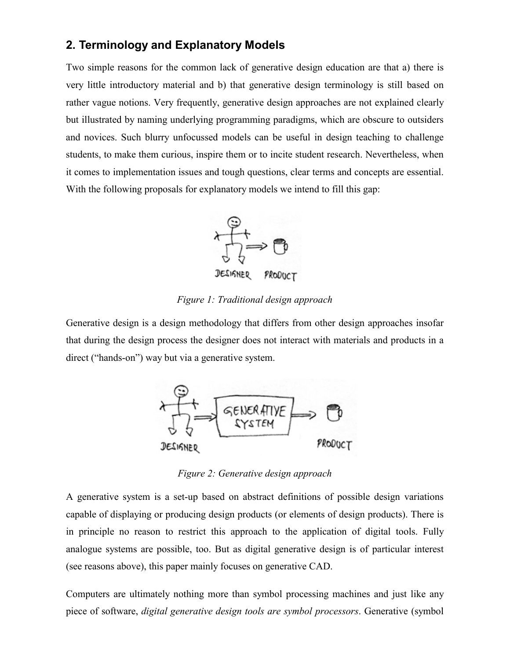# **2. Terminology and Explanatory Models**

Two simple reasons for the common lack of generative design education are that a) there is very little introductory material and b) that generative design terminology is still based on rather vague notions. Very frequently, generative design approaches are not explained clearly but illustrated by naming underlying programming paradigms, which are obscure to outsiders and novices. Such blurry unfocussed models can be useful in design teaching to challenge students, to make them curious, inspire them or to incite student research. Nevertheless, when it comes to implementation issues and tough questions, clear terms and concepts are essential. With the following proposals for explanatory models we intend to fill this gap:



*Figure 1: Traditional design approach*

Generative design is a design methodology that differs from other design approaches insofar that during the design process the designer does not interact with materials and products in a direct ("hands-on") way but via a generative system.



*Figure 2: Generative design approach*

A generative system is a set-up based on abstract definitions of possible design variations capable of displaying or producing design products (or elements of design products). There is in principle no reason to restrict this approach to the application of digital tools. Fully analogue systems are possible, too. But as digital generative design is of particular interest (see reasons above), this paper mainly focuses on generative CAD.

Computers are ultimately nothing more than symbol processing machines and just like any piece of software, *digital generative design tools are symbol processors*. Generative (symbol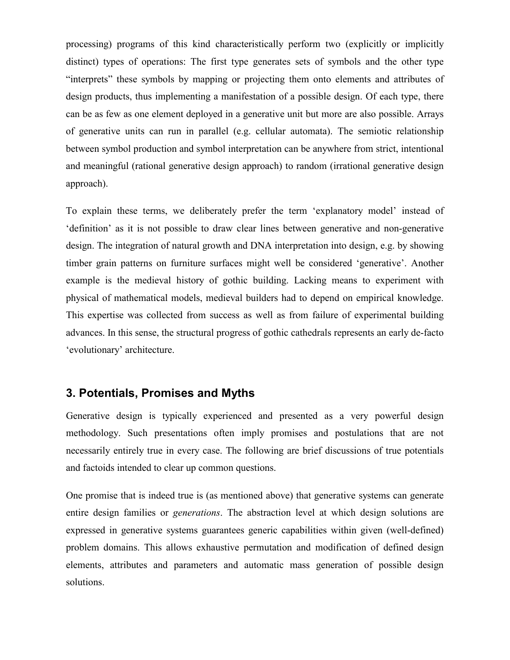processing) programs of this kind characteristically perform two (explicitly or implicitly distinct) types of operations: The first type generates sets of symbols and the other type "interprets" these symbols by mapping or projecting them onto elements and attributes of design products, thus implementing a manifestation of a possible design. Of each type, there can be as few as one element deployed in a generative unit but more are also possible. Arrays of generative units can run in parallel (e.g. cellular automata). The semiotic relationship between symbol production and symbol interpretation can be anywhere from strict, intentional and meaningful (rational generative design approach) to random (irrational generative design approach).

To explain these terms, we deliberately prefer the term 'explanatory model' instead of 'definition' as it is not possible to draw clear lines between generative and non-generative design. The integration of natural growth and DNA interpretation into design, e.g. by showing timber grain patterns on furniture surfaces might well be considered 'generative'. Another example is the medieval history of gothic building. Lacking means to experiment with physical of mathematical models, medieval builders had to depend on empirical knowledge. This expertise was collected from success as well as from failure of experimental building advances. In this sense, the structural progress of gothic cathedrals represents an early de-facto 'evolutionary' architecture.

### **3. Potentials, Promises and Myths**

Generative design is typically experienced and presented as a very powerful design methodology. Such presentations often imply promises and postulations that are not necessarily entirely true in every case. The following are brief discussions of true potentials and factoids intended to clear up common questions.

One promise that is indeed true is (as mentioned above) that generative systems can generate entire design families or *generations*. The abstraction level at which design solutions are expressed in generative systems guarantees generic capabilities within given (well-defined) problem domains. This allows exhaustive permutation and modification of defined design elements, attributes and parameters and automatic mass generation of possible design solutions.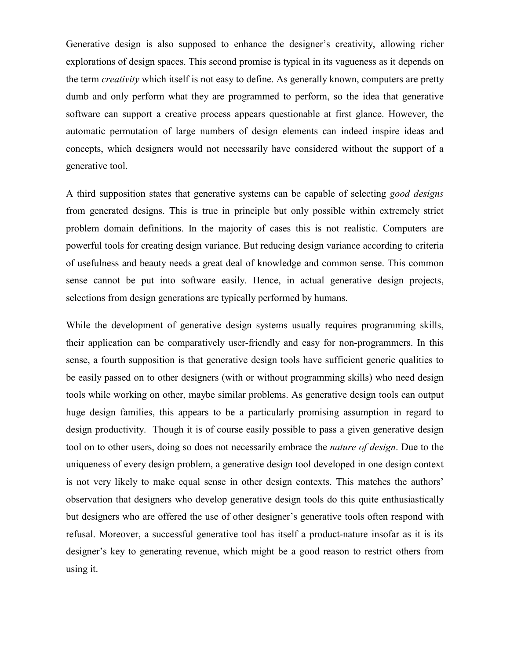Generative design is also supposed to enhance the designer's creativity, allowing richer explorations of design spaces. This second promise is typical in its vagueness as it depends on the term *creativity* which itself is not easy to define. As generally known, computers are pretty dumb and only perform what they are programmed to perform, so the idea that generative software can support a creative process appears questionable at first glance. However, the automatic permutation of large numbers of design elements can indeed inspire ideas and concepts, which designers would not necessarily have considered without the support of a generative tool.

A third supposition states that generative systems can be capable of selecting *good designs* from generated designs. This is true in principle but only possible within extremely strict problem domain definitions. In the majority of cases this is not realistic. Computers are powerful tools for creating design variance. But reducing design variance according to criteria of usefulness and beauty needs a great deal of knowledge and common sense. This common sense cannot be put into software easily. Hence, in actual generative design projects, selections from design generations are typically performed by humans.

While the development of generative design systems usually requires programming skills, their application can be comparatively user-friendly and easy for non-programmers. In this sense, a fourth supposition is that generative design tools have sufficient generic qualities to be easily passed on to other designers (with or without programming skills) who need design tools while working on other, maybe similar problems. As generative design tools can output huge design families, this appears to be a particularly promising assumption in regard to design productivity. Though it is of course easily possible to pass a given generative design tool on to other users, doing so does not necessarily embrace the *nature of design*. Due to the uniqueness of every design problem, a generative design tool developed in one design context is not very likely to make equal sense in other design contexts. This matches the authors' observation that designers who develop generative design tools do this quite enthusiastically but designers who are offered the use of other designer's generative tools often respond with refusal. Moreover, a successful generative tool has itself a product-nature insofar as it is its designer's key to generating revenue, which might be a good reason to restrict others from using it.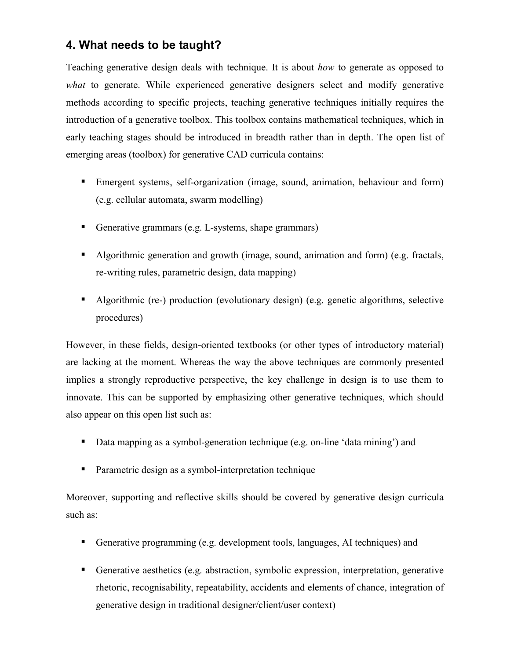# **4. What needs to be taught?**

Teaching generative design deals with technique. It is about *how* to generate as opposed to *what* to generate. While experienced generative designers select and modify generative methods according to specific projects, teaching generative techniques initially requires the introduction of a generative toolbox. This toolbox contains mathematical techniques, which in early teaching stages should be introduced in breadth rather than in depth. The open list of emerging areas (toolbox) for generative CAD curricula contains:

- Emergent systems, self-organization (image, sound, animation, behaviour and form) (e.g. cellular automata, swarm modelling)
- Generative grammars (e.g. L-systems, shape grammars)
- Algorithmic generation and growth (image, sound, animation and form) (e.g. fractals, re-writing rules, parametric design, data mapping)
- Algorithmic (re-) production (evolutionary design) (e.g. genetic algorithms, selective procedures)

However, in these fields, design-oriented textbooks (or other types of introductory material) are lacking at the moment. Whereas the way the above techniques are commonly presented implies a strongly reproductive perspective, the key challenge in design is to use them to innovate. This can be supported by emphasizing other generative techniques, which should also appear on this open list such as:

- Data mapping as a symbol-generation technique (e.g. on-line 'data mining') and
- **Parametric design as a symbol-interpretation technique**

Moreover, supporting and reflective skills should be covered by generative design curricula such as:

- Generative programming (e.g. development tools, languages, AI techniques) and
- Generative aesthetics (e.g. abstraction, symbolic expression, interpretation, generative rhetoric, recognisability, repeatability, accidents and elements of chance, integration of generative design in traditional designer/client/user context)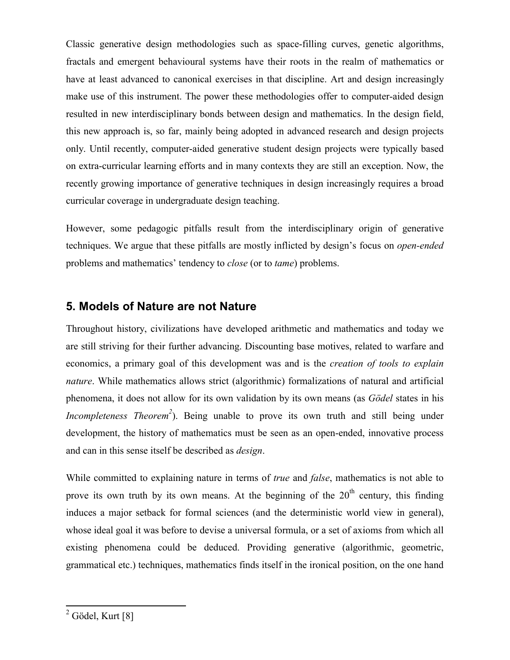Classic generative design methodologies such as space-filling curves, genetic algorithms, fractals and emergent behavioural systems have their roots in the realm of mathematics or have at least advanced to canonical exercises in that discipline. Art and design increasingly make use of this instrument. The power these methodologies offer to computer-aided design resulted in new interdisciplinary bonds between design and mathematics. In the design field, this new approach is, so far, mainly being adopted in advanced research and design projects only. Until recently, computer-aided generative student design projects were typically based on extra-curricular learning efforts and in many contexts they are still an exception. Now, the recently growing importance of generative techniques in design increasingly requires a broad curricular coverage in undergraduate design teaching.

However, some pedagogic pitfalls result from the interdisciplinary origin of generative techniques. We argue that these pitfalls are mostly inflicted by design's focus on *open-ended* problems and mathematics' tendency to *close* (or to *tame*) problems.

### **5. Models of Nature are not Nature**

Throughout history, civilizations have developed arithmetic and mathematics and today we are still striving for their further advancing. Discounting base motives, related to warfare and economics, a primary goal of this development was and is the *creation of tools to explain nature*. While mathematics allows strict (algorithmic) formalizations of natural and artificial phenomena, it does not allow for its own validation by its own means (as *Gödel* states in his *Incompleteness Theorem*<sup>2</sup>). Being unable to prove its own truth and still being under development, the history of mathematics must be seen as an open-ended, innovative process and can in this sense itself be described as *design*.

While committed to explaining nature in terms of *true* and *false*, mathematics is not able to prove its own truth by its own means. At the beginning of the  $20<sup>th</sup>$  century, this finding induces a major setback for formal sciences (and the deterministic world view in general), whose ideal goal it was before to devise a universal formula, or a set of axioms from which all existing phenomena could be deduced. Providing generative (algorithmic, geometric, grammatical etc.) techniques, mathematics finds itself in the ironical position, on the one hand

<sup>&</sup>lt;sup>2</sup> Gödel, Kurt [8]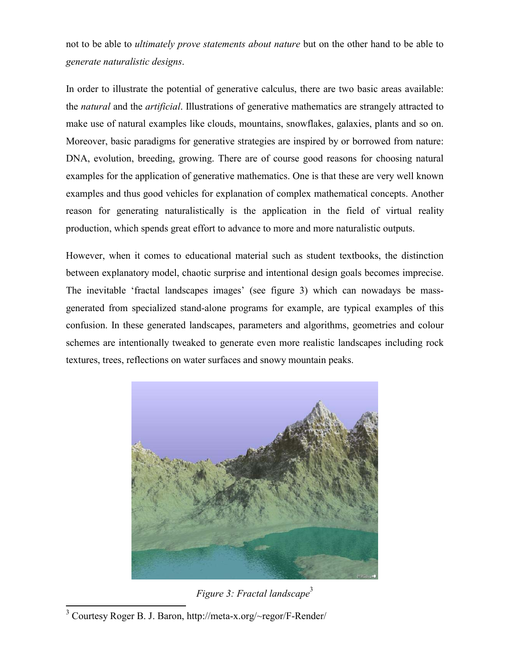not to be able to *ultimately prove statements about nature* but on the other hand to be able to *generate naturalistic designs*.

In order to illustrate the potential of generative calculus, there are two basic areas available: the *natural* and the *artificial*. Illustrations of generative mathematics are strangely attracted to make use of natural examples like clouds, mountains, snowflakes, galaxies, plants and so on. Moreover, basic paradigms for generative strategies are inspired by or borrowed from nature: DNA, evolution, breeding, growing. There are of course good reasons for choosing natural examples for the application of generative mathematics. One is that these are very well known examples and thus good vehicles for explanation of complex mathematical concepts. Another reason for generating naturalistically is the application in the field of virtual reality production, which spends great effort to advance to more and more naturalistic outputs.

However, when it comes to educational material such as student textbooks, the distinction between explanatory model, chaotic surprise and intentional design goals becomes imprecise. The inevitable 'fractal landscapes images' (see figure 3) which can nowadays be massgenerated from specialized stand-alone programs for example, are typical examples of this confusion. In these generated landscapes, parameters and algorithms, geometries and colour schemes are intentionally tweaked to generate even more realistic landscapes including rock textures, trees, reflections on water surfaces and snowy mountain peaks.



*Figure 3: Fractal landscape*<sup>3</sup>

 3 Courtesy Roger B. J. Baron, http://meta-x.org/~regor/F-Render/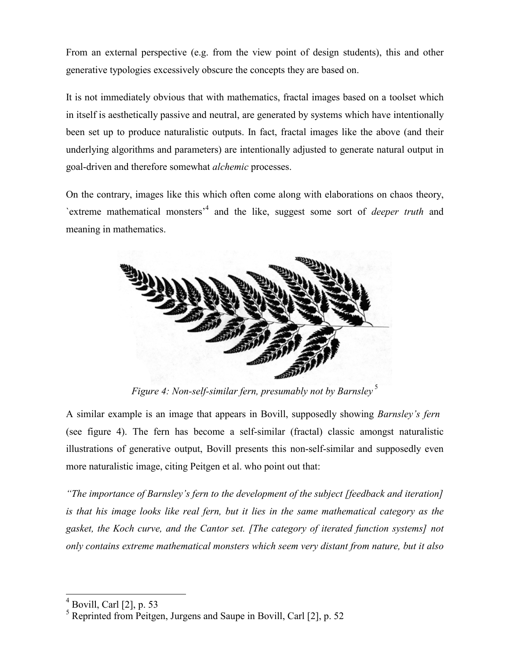From an external perspective (e.g. from the view point of design students), this and other generative typologies excessively obscure the concepts they are based on.

It is not immediately obvious that with mathematics, fractal images based on a toolset which in itself is aesthetically passive and neutral, are generated by systems which have intentionally been set up to produce naturalistic outputs. In fact, fractal images like the above (and their underlying algorithms and parameters) are intentionally adjusted to generate natural output in goal-driven and therefore somewhat *alchemic* processes.

On the contrary, images like this which often come along with elaborations on chaos theory, `extreme mathematical monsters'4 and the like, suggest some sort of *deeper truth* and meaning in mathematics.



*Figure 4: Non-self-similar fern, presumably not by Barnsley*<sup>5</sup>

A similar example is an image that appears in Bovill, supposedly showing *Barnsley's fern* (see figure 4). The fern has become a self-similar (fractal) classic amongst naturalistic illustrations of generative output, Bovill presents this non-self-similar and supposedly even more naturalistic image, citing Peitgen et al. who point out that:

*"The importance of Barnsley's fern to the development of the subject [feedback and iteration] is that his image looks like real fern, but it lies in the same mathematical category as the gasket, the Koch curve, and the Cantor set. [The category of iterated function systems] not only contains extreme mathematical monsters which seem very distant from nature, but it also*

 $\frac{1}{2}$ 

<sup>4</sup> Bovill, Carl [2], p. 53

<sup>&</sup>lt;sup>5</sup> Reprinted from Peitgen, Jurgens and Saupe in Bovill, Carl [2], p. 52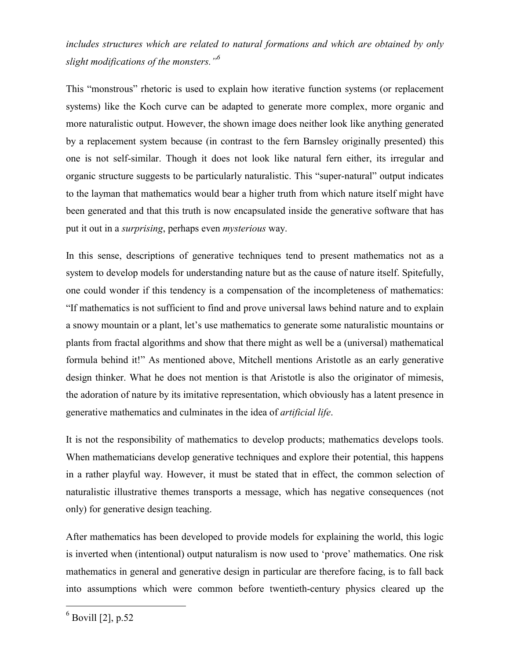*includes structures which are related to natural formations and which are obtained by only slight modifications of the monsters."<sup>6</sup>*

This "monstrous" rhetoric is used to explain how iterative function systems (or replacement systems) like the Koch curve can be adapted to generate more complex, more organic and more naturalistic output. However, the shown image does neither look like anything generated by a replacement system because (in contrast to the fern Barnsley originally presented) this one is not self-similar. Though it does not look like natural fern either, its irregular and organic structure suggests to be particularly naturalistic. This "super-natural" output indicates to the layman that mathematics would bear a higher truth from which nature itself might have been generated and that this truth is now encapsulated inside the generative software that has put it out in a *surprising*, perhaps even *mysterious* way.

In this sense, descriptions of generative techniques tend to present mathematics not as a system to develop models for understanding nature but as the cause of nature itself. Spitefully, one could wonder if this tendency is a compensation of the incompleteness of mathematics: "If mathematics is not sufficient to find and prove universal laws behind nature and to explain a snowy mountain or a plant, let's use mathematics to generate some naturalistic mountains or plants from fractal algorithms and show that there might as well be a (universal) mathematical formula behind it!" As mentioned above, Mitchell mentions Aristotle as an early generative design thinker. What he does not mention is that Aristotle is also the originator of mimesis, the adoration of nature by its imitative representation, which obviously has a latent presence in generative mathematics and culminates in the idea of *artificial life*.

It is not the responsibility of mathematics to develop products; mathematics develops tools. When mathematicians develop generative techniques and explore their potential, this happens in a rather playful way. However, it must be stated that in effect, the common selection of naturalistic illustrative themes transports a message, which has negative consequences (not only) for generative design teaching.

After mathematics has been developed to provide models for explaining the world, this logic is inverted when (intentional) output naturalism is now used to 'prove' mathematics. One risk mathematics in general and generative design in particular are therefore facing, is to fall back into assumptions which were common before twentieth-century physics cleared up the

 6 Bovill [2], p.52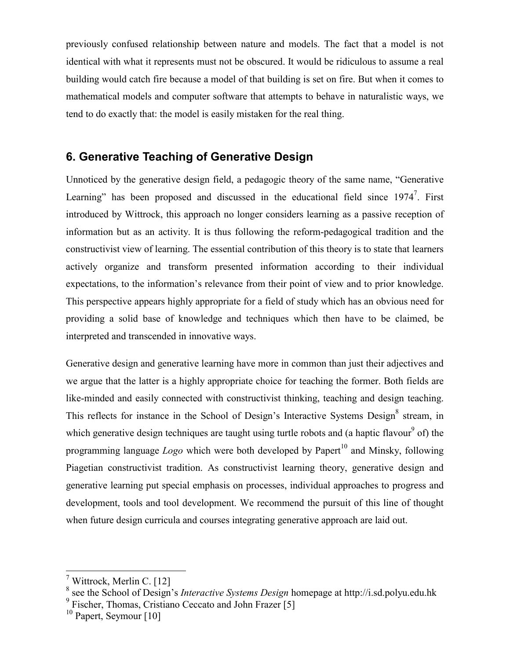previously confused relationship between nature and models. The fact that a model is not identical with what it represents must not be obscured. It would be ridiculous to assume a real building would catch fire because a model of that building is set on fire. But when it comes to mathematical models and computer software that attempts to behave in naturalistic ways, we tend to do exactly that: the model is easily mistaken for the real thing.

# **6. Generative Teaching of Generative Design**

Unnoticed by the generative design field, a pedagogic theory of the same name, "Generative Learning" has been proposed and discussed in the educational field since  $1974^7$ . First introduced by Wittrock, this approach no longer considers learning as a passive reception of information but as an activity. It is thus following the reform-pedagogical tradition and the constructivist view of learning. The essential contribution of this theory is to state that learners actively organize and transform presented information according to their individual expectations, to the information's relevance from their point of view and to prior knowledge. This perspective appears highly appropriate for a field of study which has an obvious need for providing a solid base of knowledge and techniques which then have to be claimed, be interpreted and transcended in innovative ways.

Generative design and generative learning have more in common than just their adjectives and we argue that the latter is a highly appropriate choice for teaching the former. Both fields are like-minded and easily connected with constructivist thinking, teaching and design teaching. This reflects for instance in the School of Design's Interactive Systems Design<sup>8</sup> stream, in which generative design techniques are taught using turtle robots and (a haptic flavour<sup>9</sup> of) the programming language *Logo* which were both developed by Papert<sup>10</sup> and Minsky, following Piagetian constructivist tradition. As constructivist learning theory, generative design and generative learning put special emphasis on processes, individual approaches to progress and development, tools and tool development. We recommend the pursuit of this line of thought when future design curricula and courses integrating generative approach are laid out.

 $\overline{a}$ 

<sup>7</sup> Wittrock, Merlin C. [12]

<sup>8</sup> see the School of Design's *Interactive Systems Design* homepage at http://i.sd.polyu.edu.hk <sup>9</sup>

 $\frac{6}{9}$  Fischer, Thomas, Cristiano Ceccato and John Frazer [5]

<sup>&</sup>lt;sup>10</sup> Papert, Seymour [10]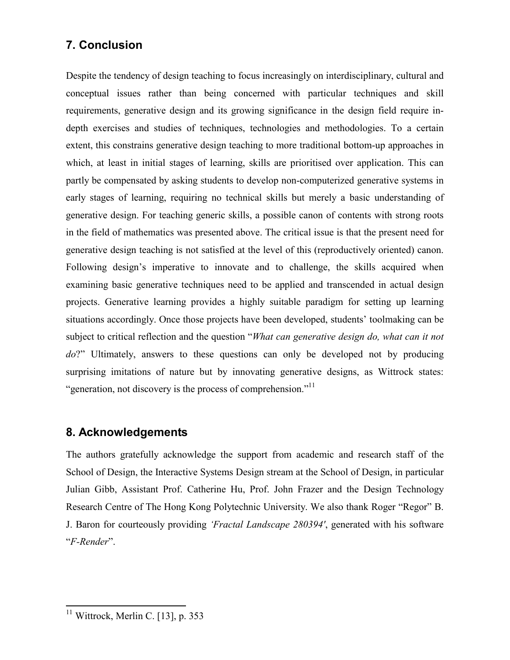# **7. Conclusion**

Despite the tendency of design teaching to focus increasingly on interdisciplinary, cultural and conceptual issues rather than being concerned with particular techniques and skill requirements, generative design and its growing significance in the design field require indepth exercises and studies of techniques, technologies and methodologies. To a certain extent, this constrains generative design teaching to more traditional bottom-up approaches in which, at least in initial stages of learning, skills are prioritised over application. This can partly be compensated by asking students to develop non-computerized generative systems in early stages of learning, requiring no technical skills but merely a basic understanding of generative design. For teaching generic skills, a possible canon of contents with strong roots in the field of mathematics was presented above. The critical issue is that the present need for generative design teaching is not satisfied at the level of this (reproductively oriented) canon. Following design's imperative to innovate and to challenge, the skills acquired when examining basic generative techniques need to be applied and transcended in actual design projects. Generative learning provides a highly suitable paradigm for setting up learning situations accordingly. Once those projects have been developed, students' toolmaking can be subject to critical reflection and the question "*What can generative design do, what can it not do*?" Ultimately, answers to these questions can only be developed not by producing surprising imitations of nature but by innovating generative designs, as Wittrock states: "generation, not discovery is the process of comprehension."<sup>11</sup>

### **8. Acknowledgements**

The authors gratefully acknowledge the support from academic and research staff of the School of Design, the Interactive Systems Design stream at the School of Design, in particular Julian Gibb, Assistant Prof. Catherine Hu, Prof. John Frazer and the Design Technology Research Centre of The Hong Kong Polytechnic University. We also thank Roger "Regor" B. J. Baron for courteously providing *'Fractal Landscape 280394'*, generated with his software "*F-Render*".

 $\overline{a}$  $11$  Wittrock, Merlin C. [13], p. 353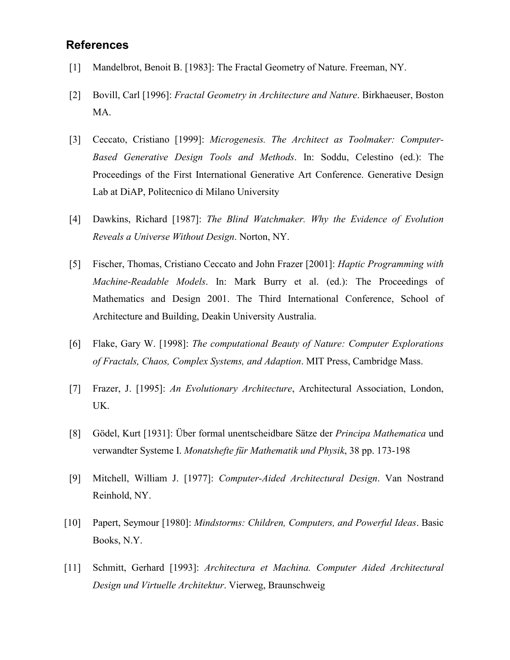### **References**

- [1] Mandelbrot, Benoit B. [1983]: The Fractal Geometry of Nature. Freeman, NY.
- [2] Bovill, Carl [1996]: *Fractal Geometry in Architecture and Nature*. Birkhaeuser, Boston MA.
- [3] Ceccato, Cristiano [1999]: *Microgenesis. The Architect as Toolmaker: Computer-Based Generative Design Tools and Methods*. In: Soddu, Celestino (ed.): The Proceedings of the First International Generative Art Conference. Generative Design Lab at DiAP, Politecnico di Milano University
- [4] Dawkins, Richard [1987]: *The Blind Watchmaker. Why the Evidence of Evolution Reveals a Universe Without Design*. Norton, NY.
- [5] Fischer, Thomas, Cristiano Ceccato and John Frazer [2001]: *Haptic Programming with Machine-Readable Models*. In: Mark Burry et al. (ed.): The Proceedings of Mathematics and Design 2001. The Third International Conference, School of Architecture and Building, Deakin University Australia.
- [6] Flake, Gary W. [1998]: *The computational Beauty of Nature: Computer Explorations of Fractals, Chaos, Complex Systems, and Adaption*. MIT Press, Cambridge Mass.
- [7] Frazer, J. [1995]: *An Evolutionary Architecture*, Architectural Association, London, UK.
- [8] Gödel, Kurt [1931]: Über formal unentscheidbare Sätze der *Principa Mathematica* und verwandter Systeme I. *Monatshefte für Mathematik und Physik*, 38 pp. 173-198
- [9] Mitchell, William J. [1977]: *Computer-Aided Architectural Design*. Van Nostrand Reinhold, NY.
- [10] Papert, Seymour [1980]: *Mindstorms: Children, Computers, and Powerful Ideas*. Basic Books, N.Y.
- [11] Schmitt, Gerhard [1993]: *Architectura et Machina. Computer Aided Architectural Design und Virtuelle Architektur*. Vierweg, Braunschweig